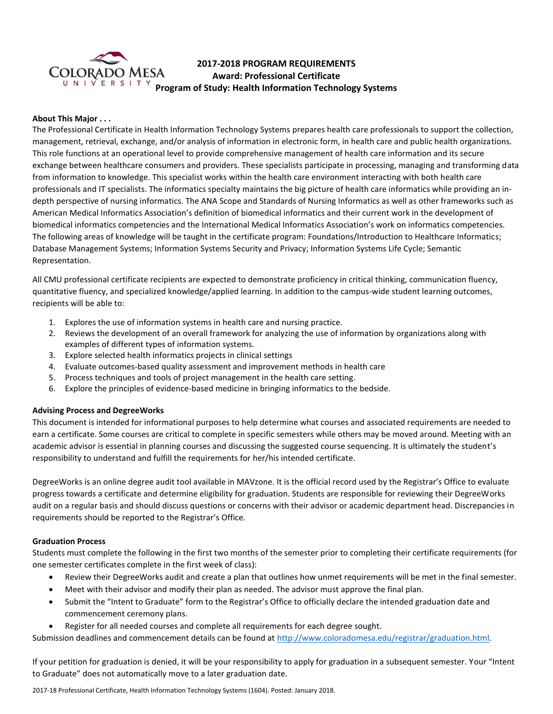

# **2017-2018 PROGRAM REQUIREMENTS Award: Professional Certificate Program of Study: Health Information Technology Systems**<br>
U N I V E R S I T Y **Program of Study: Health Information Technology Systems**

## **About This Major . . .**

The Professional Certificate in Health Information Technology Systems prepares health care professionals to support the collection, management, retrieval, exchange, and/or analysis of information in electronic form, in health care and public health organizations. This role functions at an operational level to provide comprehensive management of health care information and its secure exchange between healthcare consumers and providers. These specialists participate in processing, managing and transforming data from information to knowledge. This specialist works within the health care environment interacting with both health care professionals and IT specialists. The informatics specialty maintains the big picture of health care informatics while providing an indepth perspective of nursing informatics. The ANA Scope and Standards of Nursing Informatics as well as other frameworks such as American Medical Informatics Association's definition of biomedical informatics and their current work in the development of biomedical informatics competencies and the International Medical Informatics Association's work on informatics competencies. The following areas of knowledge will be taught in the certificate program: Foundations/Introduction to Healthcare Informatics; Database Management Systems; Information Systems Security and Privacy; Information Systems Life Cycle; Semantic Representation.

All CMU professional certificate recipients are expected to demonstrate proficiency in critical thinking, communication fluency, quantitative fluency, and specialized knowledge/applied learning. In addition to the campus-wide student learning outcomes, recipients will be able to:

- 1. Explores the use of information systems in health care and nursing practice.
- 2. Reviews the development of an overall framework for analyzing the use of information by organizations along with examples of different types of information systems.
- 3. Explore selected health informatics projects in clinical settings
- 4. Evaluate outcomes-based quality assessment and improvement methods in health care
- 5. Process techniques and tools of project management in the health care setting.
- 6. Explore the principles of evidence-based medicine in bringing informatics to the bedside.

# **Advising Process and DegreeWorks**

This document is intended for informational purposes to help determine what courses and associated requirements are needed to earn a certificate. Some courses are critical to complete in specific semesters while others may be moved around. Meeting with an academic advisor is essential in planning courses and discussing the suggested course sequencing. It is ultimately the student's responsibility to understand and fulfill the requirements for her/his intended certificate.

DegreeWorks is an online degree audit tool available in MAVzone. It is the official record used by the Registrar's Office to evaluate progress towards a certificate and determine eligibility for graduation. Students are responsible for reviewing their DegreeWorks audit on a regular basis and should discuss questions or concerns with their advisor or academic department head. Discrepancies in requirements should be reported to the Registrar's Office.

#### **Graduation Process**

Students must complete the following in the first two months of the semester prior to completing their certificate requirements (for one semester certificates complete in the first week of class):

- Review their DegreeWorks audit and create a plan that outlines how unmet requirements will be met in the final semester.
- Meet with their advisor and modify their plan as needed. The advisor must approve the final plan.
- Submit the "Intent to Graduate" form to the Registrar's Office to officially declare the intended graduation date and commencement ceremony plans.
- Register for all needed courses and complete all requirements for each degree sought.

Submission deadlines and commencement details can be found at [http://www.coloradomesa.edu/registrar/graduation.html.](http://www.coloradomesa.edu/registrar/graduation.html)

If your petition for graduation is denied, it will be your responsibility to apply for graduation in a subsequent semester. Your "Intent to Graduate" does not automatically move to a later graduation date.

2017-18 Professional Certificate, Health Information Technology Systems (1604). Posted: January 2018.